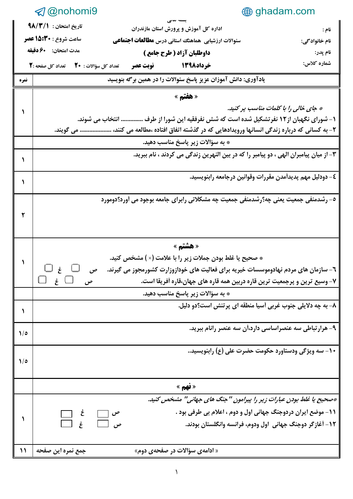|                                                          | <b>A</b> @nohomi9                                                                                    |                                                              |  |  |  |  |
|----------------------------------------------------------|------------------------------------------------------------------------------------------------------|--------------------------------------------------------------|--|--|--|--|
|                                                          | تاريخ امتحان: ٩٨/٣/١<br>اداره کل آموزش و پرورش استان مازندران                                        | نام :                                                        |  |  |  |  |
|                                                          | <b>ساعت شروع : 15:30 عصر</b><br>سئوالات ارزشیابی  هماهنگ استانی درس <b>مطالعات اجتماعی</b>           | نام خانوادگی:                                                |  |  |  |  |
|                                                          | مدت امتحان: 60 دقيقه<br>داوطلبان آزاد ( طرح جامع )                                                   | نام پدر:                                                     |  |  |  |  |
|                                                          | فوبت عصر تعداد کل سؤالات: ٢٠ تعداد کل صفحه : ٢<br>خرداد1398                                          | شماره کلاس:                                                  |  |  |  |  |
| <b>ىمرە</b>                                              | یادآوری: دانش آموزان عزیز پاسخ سئوالات را در همین برگه بنویسید                                       |                                                              |  |  |  |  |
|                                                          | « هفتم »                                                                                             |                                                              |  |  |  |  |
|                                                          | * جای خالی را با کلمات مناسب پر کنید.                                                                |                                                              |  |  |  |  |
|                                                          | ۱– شورای نگهبان از۱۲ نفر تشکیل شده است که شش نفرفقیه این شورا از طرف  انتخاب می شوند.                |                                                              |  |  |  |  |
|                                                          | ۲- به کسانی که درباره زندگی انسانها ورویدادهایی که در گذشته اتفاق افتاده ،مطالعه می کنند،  می گویند. |                                                              |  |  |  |  |
|                                                          | * به سؤالات زير پاسخ مناسب دهيد.                                                                     |                                                              |  |  |  |  |
|                                                          | ۳- از میان پیامبران الهی ، دو پیامبر را که در بین النهرین زندگی می کردند ، نام ببرید.                |                                                              |  |  |  |  |
|                                                          | ٤– دودليل مهم پديدأمدن مقررات وقوانين درجامعه رابنويسيد.                                             |                                                              |  |  |  |  |
|                                                          | ٥- رشدمنفی جمعیت یعنی چه؟رشدمنفی جمعیت چه مشکلاتی رابرای جامعه بوجود می آورد؟دومورد                  |                                                              |  |  |  |  |
|                                                          |                                                                                                      |                                                              |  |  |  |  |
|                                                          |                                                                                                      |                                                              |  |  |  |  |
|                                                          |                                                                                                      |                                                              |  |  |  |  |
|                                                          | « هشتم »                                                                                             |                                                              |  |  |  |  |
| * صحیح یا غلط بودن جملات زیر را با علامت (× ) مشخص کنید. |                                                                                                      |                                                              |  |  |  |  |
|                                                          | $\Box$ غ $\Box$<br>۷- وسیع ترین و پرجمعیت ترین قاره دربین همه قاره های جهان،قاره أفریقا است.         |                                                              |  |  |  |  |
|                                                          | * به سؤالات زير پاسخ مناسب دهيد.                                                                     |                                                              |  |  |  |  |
|                                                          | ۸- به چه دلایلی جنوب غربی أسیا منطقه ای پرتنش است؟دو دلیل.                                           |                                                              |  |  |  |  |
|                                                          |                                                                                                      |                                                              |  |  |  |  |
| $\mathcal{N}$                                            |                                                                                                      | ۹- هرار تباطی سه عنصراساسی دارد،أن سه عنصر رانام ببرید.      |  |  |  |  |
|                                                          |                                                                                                      |                                                              |  |  |  |  |
| $\frac{1}{2}$                                            |                                                                                                      | ۱۰- سه ویژگی ودستاورد حکومت حضرت علی (ع) رابنویسید           |  |  |  |  |
|                                                          |                                                                                                      |                                                              |  |  |  |  |
|                                                          | $\frac{1}{2}$ ightharpoon $\frac{1}{2}$                                                              |                                                              |  |  |  |  |
|                                                          | *∞حجاج یا غلط بودن عبارات زیر را پیرامون '' جنگ های جهانی'' مشخص کنید.                               |                                                              |  |  |  |  |
|                                                          |                                                                                                      | 11- موضع ایران دردوجنگ جهانی اول و دوم ، اعلام بی طرفی بود . |  |  |  |  |
|                                                          |                                                                                                      | ۱۲- آغازگر دوجنگ جهانی  اول ودوم، فرانسه وانگلستان بودند.    |  |  |  |  |
|                                                          |                                                                                                      |                                                              |  |  |  |  |
| $\mathcal{L}$                                            | جمع نمره این صفحه<br>« ادامەی سؤالات در صفحەی دوم»                                                   |                                                              |  |  |  |  |
|                                                          |                                                                                                      |                                                              |  |  |  |  |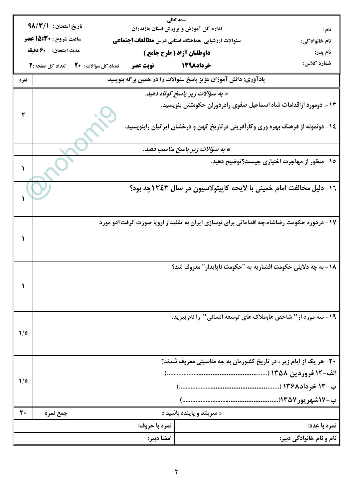| بسمه تعالى<br>تاريخ امتحان: ٩٨/٣/١ |                                                                                                                                      |               |                                                                |                                                                                          |  |  |  |
|------------------------------------|--------------------------------------------------------------------------------------------------------------------------------------|---------------|----------------------------------------------------------------|------------------------------------------------------------------------------------------|--|--|--|
|                                    | اداره کل آموزش و پرورش استان مازندران<br>نام :<br>ساعت شروع : 15:30 عصر<br>سئوالات ارزشیابی هماهنگ استانی درس <b>مطالعات اجتماعی</b> |               |                                                                |                                                                                          |  |  |  |
|                                    | مدت امتحان: 40 دقيقه                                                                                                                 |               | داوطلبان آزاد ( طرح جامع )                                     | نام خانوادگی:<br>نام پدر:                                                                |  |  |  |
|                                    | خوداد1398 می نوبت عصر تعداد کل سؤالات : 20 تعداد کل صفحه :2                                                                          |               |                                                                | شماره کلاس:                                                                              |  |  |  |
| نمره                               |                                                                                                                                      |               | یادآوری: دانش آموزان عزیز پاسخ سئوالات را در همین برگه بنویسید |                                                                                          |  |  |  |
|                                    | * به سؤالات زیر پاسخ کوتاه دهید.                                                                                                     |               |                                                                |                                                                                          |  |  |  |
|                                    | 1۳ -. دومورد ازاقدامات شاه اسماعیل صفوی رادردوران حکومتش بنویسید.                                                                    |               |                                                                |                                                                                          |  |  |  |
|                                    |                                                                                                                                      |               |                                                                |                                                                                          |  |  |  |
|                                    |                                                                                                                                      |               |                                                                | ۱۶– دونمونه از فرهنگ بهره وری وکارآفرینی در تاریخ کهن و درخشان ایرانیان رابنویسید.       |  |  |  |
|                                    |                                                                                                                                      |               | * به سؤالات زیر پاسخ مناسب دهید.                               |                                                                                          |  |  |  |
|                                    |                                                                                                                                      |               |                                                                | ۱۵- منظور از مهاجرت اختیاری چیست؟توضیح دهید.                                             |  |  |  |
|                                    |                                                                                                                                      |               |                                                                |                                                                                          |  |  |  |
|                                    |                                                                                                                                      |               |                                                                | ١٦- دليل مخالفت امام خميني با لايحه كاپيتولاسيون در سال ١٣٤٣چه بود؟                      |  |  |  |
|                                    |                                                                                                                                      |               |                                                                |                                                                                          |  |  |  |
|                                    |                                                                                                                                      |               |                                                                |                                                                                          |  |  |  |
|                                    |                                                                                                                                      |               |                                                                | ۱۷- دردوره حکومت رضاشاه،چه اقداماتی برای نوسازی ایران به تقلیداز اروپا صورت گرفت؟دو مورد |  |  |  |
|                                    |                                                                                                                                      |               |                                                                |                                                                                          |  |  |  |
|                                    |                                                                                                                                      |               |                                                                |                                                                                          |  |  |  |
|                                    |                                                                                                                                      |               |                                                                | 1۸- به چه دلایلی حکومت افشاریه به "حکومت ناپایدار" معروف شد؟                             |  |  |  |
|                                    |                                                                                                                                      |               |                                                                |                                                                                          |  |  |  |
|                                    |                                                                                                                                      |               |                                                                |                                                                                          |  |  |  |
|                                    |                                                                                                                                      |               |                                                                |                                                                                          |  |  |  |
|                                    |                                                                                                                                      |               |                                                                | ۱۹- سه مورد از " شاخص هاوملاک های توسعه انسانی " ۱٫ انام ببرید.                          |  |  |  |
| $\frac{1}{2}$                      |                                                                                                                                      |               |                                                                |                                                                                          |  |  |  |
|                                    |                                                                                                                                      |               |                                                                |                                                                                          |  |  |  |
|                                    |                                                                                                                                      |               |                                                                | ۲۰- هر یک از ایام زیر ، در تاریخ کشورمان به چه مناسبتی معروف شدند؟                       |  |  |  |
| $\sqrt{6}$                         |                                                                                                                                      |               |                                                                |                                                                                          |  |  |  |
|                                    |                                                                                                                                      |               |                                                                |                                                                                          |  |  |  |
|                                    |                                                                                                                                      |               |                                                                |                                                                                          |  |  |  |
| $\mathbf{r}$                       | جمع نمره                                                                                                                             |               | « سربلند و پاینده باشید »                                      |                                                                                          |  |  |  |
|                                    |                                                                                                                                      | نمره با حروف: |                                                                | نمره با عدد:                                                                             |  |  |  |
|                                    |                                                                                                                                      | امضا دبير:    |                                                                | نام و نام خانوادگی دبیر:                                                                 |  |  |  |